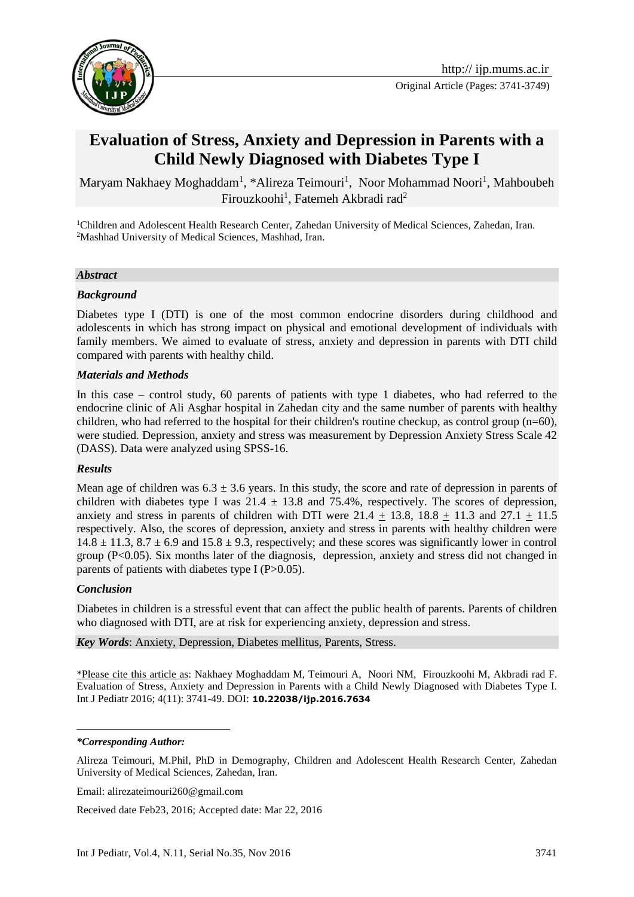

Original Article (Pages: 3741-3749)

# **Evaluation of Stress, Anxiety and Depression in Parents with a Child Newly Diagnosed with Diabetes Type I**

Maryam Nakhaey Moghaddam<sup>1</sup>, \*Alireza Teimouri<sup>1</sup>, [Noor Mohammad Noori](http://jpcp.uswr.ac.ir/search.php?slc_lang=en&sid=1&auth=Noori)<sup>1</sup>, Mahboubeh [Firouzkoohi](http://jhealthscope.com/18688.fulltext?page=search&article_author_fname=Mahboubeh&article_author_mname=&article_author_lname=Firouzkoohi&do_search=1&type=authors)<sup>1</sup>, Fatemeh Akbradi rad<sup>2</sup>

<sup>1</sup>Children and Adolescent Health Research Center, Zahedan University of Medical Sciences, Zahedan, Iran. <sup>2</sup>Mashhad University of Medical Sciences, Mashhad, Iran.

#### *Abstract*

#### *Background*

Diabetes type I (DTI) is one of the most common endocrine disorders during childhood and adolescents in which has strong impact on physical and emotional development of individuals with family members. We aimed to evaluate of stress, anxiety and depression in parents with DTI child compared with parents with healthy child.

#### *Materials and Methods*

In this case – control study, 60 parents of patients with type 1 diabetes, who had referred to the endocrine clinic of Ali Asghar hospital in Zahedan city and the same number of parents with healthy children, who had referred to the hospital for their children's routine checkup, as control group  $(n=60)$ , were studied. Depression, anxiety and stress was measurement by Depression Anxiety Stress Scale 42 (DASS). Data were analyzed using SPSS-16.

#### *Results*

Mean age of children was  $6.3 \pm 3.6$  years. In this study, the score and rate of depression in parents of children with diabetes type I was  $21.4 \pm 13.8$  and 75.4%, respectively. The scores of depression, anxiety and stress in parents of children with DTI were  $21.4 + 13.8$ ,  $18.8 + 11.3$  and  $27.1 + 11.5$ respectively. Also, the scores of depression, anxiety and stress in parents with healthy children were  $14.8 \pm 11.3$ ,  $8.7 \pm 6.9$  and  $15.8 \pm 9.3$ , respectively; and these scores was significantly lower in control group (P<0.05). Six months later of the diagnosis, depression, anxiety and stress did not changed in parents of patients with diabetes type I ( $P > 0.05$ ).

#### *Conclusion*

<u>.</u>

Diabetes in children is a stressful event that can affect the public health of parents. Parents of children who diagnosed with DTI, are at risk for experiencing anxiety, depression and stress.

*Key Words*: Anxiety, Depression, Diabetes mellitus, Parents, Stress.

\*Please cite this article as: Nakhaey Moghaddam M, Teimouri A, [Noori](http://jpcp.uswr.ac.ir/search.php?slc_lang=en&sid=1&auth=Noori) NM, [Firouzkoohi](http://jhealthscope.com/18688.fulltext?page=search&article_author_fname=Mahboubeh&article_author_mname=&article_author_lname=Firouzkoohi&do_search=1&type=authors) M, Akbradi rad F. Evaluation of Stress, Anxiety and Depression in Parents with a Child Newly Diagnosed with Diabetes Type I. Int J Pediatr 2016; 4(11): 3741-49. DOI: **10.22038/ijp.2016.7634**

#### *\*Corresponding Author:*

Alireza Teimouri, M.Phil, PhD in Demography, Children and Adolescent Health Research Center, Zahedan University of Medical Sciences, Zahedan, Iran.

Email: [alirezateimouri260@gmail.com](mailto:alirezateimouri260@gmail.com)

Received date Feb23, 2016; Accepted date: Mar 22, 2016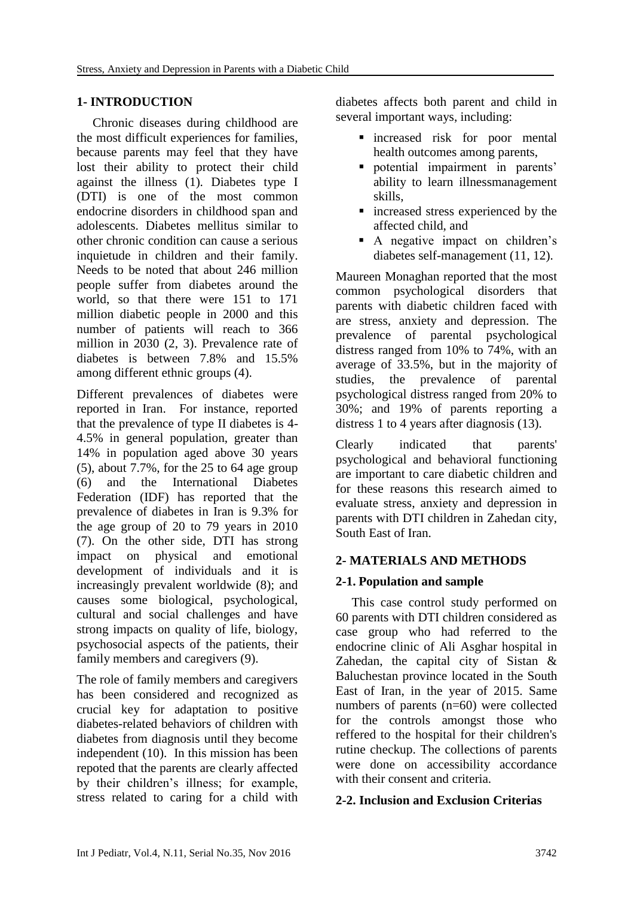# **1- INTRODUCTION**

 Chronic diseases during childhood are the most difficult experiences for families, because parents may feel that they have lost their ability to protect their child against the illness (1). Diabetes type I (DTI) is one of the most common endocrine disorders in childhood span and adolescents. Diabetes mellitus similar to other chronic condition can cause a serious inquietude in children and their family. Needs to be noted that about 246 million people suffer from diabetes around the world, so that there were 151 to 171 million diabetic people in 2000 and this number of patients will reach to 366 million in 2030 (2, 3). Prevalence rate of diabetes is between 7.8% and 15.5% among different ethnic groups (4).

Different prevalences of diabetes were reported in Iran. For instance, reported that the prevalence of type II diabetes is 4- 4.5% in general population, greater than 14% in population aged above 30 years  $(5)$ , about 7.7%, for the 25 to 64 age group (6) and the International Diabetes Federation (IDF) has reported that the prevalence of diabetes in Iran is 9.3% for the age group of 20 to 79 years in 2010 (7). On the other side, DTI has strong impact on physical and emotional development of individuals and it is increasingly prevalent worldwide (8); and causes some biological, psychological, cultural and social challenges and have strong impacts on quality of life, biology, psychosocial aspects of the patients, their family members and caregivers (9).

The role of family members and caregivers has been considered and recognized as crucial key for adaptation to positive diabetes-related behaviors of children with diabetes from diagnosis until they become independent (10). In this mission has been repoted that the parents are clearly affected by their children's illness; for example, stress related to caring for a child with diabetes affects both parent and child in several important ways, including:

- increased risk for poor mental health outcomes among parents,
- potential impairment in parents' ability to learn illnessmanagement skills,
- increased stress experienced by the affected child, and
- A negative impact on children's diabetes self-management (11, 12).

Maureen Monaghan reported that the most common psychological disorders that parents with diabetic children faced with are stress, anxiety and depression. The prevalence of parental psychological distress ranged from 10% to 74%, with an average of 33.5%, but in the majority of studies, the prevalence of parental psychological distress ranged from 20% to 30%; and 19% of parents reporting a distress 1 to 4 years after diagnosis (13).

Clearly indicated that parents' psychological and behavioral functioning are important to care diabetic children and for these reasons this research aimed to evaluate stress, anxiety and depression in parents with DTI children in Zahedan city, South East of Iran.

# **2- MATERIALS AND METHODS**

# **2-1. Population and sample**

 This case control study performed on 60 parents with DTI children considered as case group who had referred to the endocrine clinic of Ali Asghar hospital in Zahedan, the capital city of Sistan & Baluchestan province located in the South East of Iran, in the year of 2015. Same numbers of parents (n=60) were collected for the controls amongst those who reffered to the hospital for their children's rutine checkup. The collections of parents were done on accessibility accordance with their consent and criteria.

# **2-2. Inclusion and Exclusion Criterias**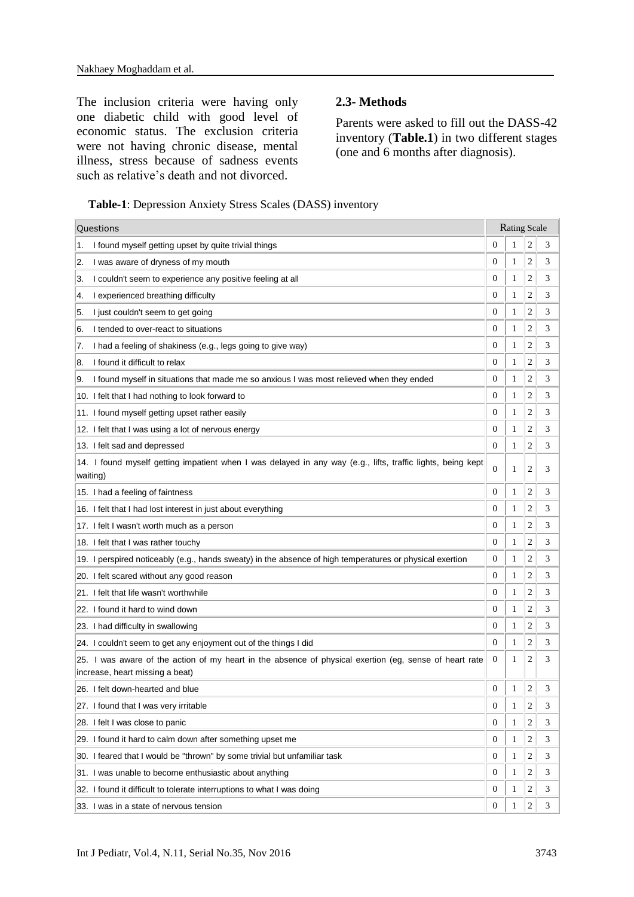The inclusion criteria were having only one diabetic child with good level of economic status. The exclusion criteria were not having chronic disease, mental illness, stress because of sadness events such as relative's death and not divorced.

## **2.3- Methods**

Parents were asked to fill out the DASS-42 inventory (**Table.1**) in two different stages (one and 6 months after diagnosis).

 **Table-1**: Depression Anxiety Stress Scales (DASS) inventory

| Questions                                                                                                                                 |                  | <b>Rating Scale</b> |                         |   |
|-------------------------------------------------------------------------------------------------------------------------------------------|------------------|---------------------|-------------------------|---|
| I found myself getting upset by quite trivial things<br>1.                                                                                | $\overline{0}$   | 1                   | $\overline{c}$          | 3 |
| I was aware of dryness of my mouth<br>2.                                                                                                  | 0                | 1                   | $\overline{c}$          | 3 |
| I couldn't seem to experience any positive feeling at all<br>3.                                                                           | 0                | 1                   | $\overline{c}$          | 3 |
| I experienced breathing difficulty<br>4.                                                                                                  | 0                | 1                   | $\overline{c}$          | 3 |
| I just couldn't seem to get going<br>5.                                                                                                   | $\boldsymbol{0}$ | 1                   | $\overline{c}$          | 3 |
| I tended to over-react to situations<br>6.                                                                                                | 0                | 1                   | 2                       | 3 |
| I had a feeling of shakiness (e.g., legs going to give way)<br>7.                                                                         | $\overline{0}$   | 1                   | $\overline{c}$          | 3 |
| I found it difficult to relax<br>8.                                                                                                       | 0                | 1                   | $\overline{c}$          | 3 |
| I found myself in situations that made me so anxious I was most relieved when they ended<br>9.                                            | 0                | 1                   | $\overline{c}$          | 3 |
| 10. I felt that I had nothing to look forward to                                                                                          | $\overline{0}$   | 1                   | $\overline{c}$          | 3 |
| 11. I found myself getting upset rather easily                                                                                            | $\overline{0}$   | 1                   | $\overline{c}$          | 3 |
| 12. I felt that I was using a lot of nervous energy                                                                                       | 0                | 1                   | $\overline{c}$          | 3 |
| 13. I felt sad and depressed                                                                                                              | $\mathbf{0}$     | 1                   | $\overline{c}$          | 3 |
| 14. I found myself getting impatient when I was delayed in any way (e.g., lifts, traffic lights, being kept<br>waiting)                   | $\overline{0}$   | 1                   | $\overline{c}$          | 3 |
| 15. I had a feeling of faintness                                                                                                          | 0                | 1                   | $\overline{c}$          | 3 |
| 16. I felt that I had lost interest in just about everything                                                                              | $\overline{0}$   | 1                   | $\overline{c}$          | 3 |
| 17. I felt I wasn't worth much as a person                                                                                                | 0                | 1                   | $\overline{c}$          | 3 |
| 18. I felt that I was rather touchy                                                                                                       | 0                | 1                   | $\overline{c}$          | 3 |
| 19. I perspired noticeably (e.g., hands sweaty) in the absence of high temperatures or physical exertion                                  | 0                | 1                   | 2                       | 3 |
| 20. I felt scared without any good reason                                                                                                 | $\boldsymbol{0}$ | 1                   | $\overline{c}$          | 3 |
| 21. I felt that life wasn't worthwhile                                                                                                    | $\overline{0}$   | 1                   | $\overline{c}$          | 3 |
| 22. I found it hard to wind down                                                                                                          | 0                | 1                   | $\overline{c}$          | 3 |
| 23. I had difficulty in swallowing                                                                                                        | $\boldsymbol{0}$ | 1                   | $\overline{c}$          | 3 |
| 24. I couldn't seem to get any enjoyment out of the things I did                                                                          | 0                | 1                   | $\overline{c}$          | 3 |
| 25. I was aware of the action of my heart in the absence of physical exertion (eg, sense of heart rate<br>increase, heart missing a beat) | 0                | 1                   | $\overline{c}$          | 3 |
| 26. I felt down-hearted and blue                                                                                                          | $\boldsymbol{0}$ | 1                   | $\overline{c}$          | 3 |
| 27. I found that I was very irritable                                                                                                     | $\boldsymbol{0}$ | 1                   | $\overline{\mathbf{c}}$ | 3 |
| 28. I felt I was close to panic                                                                                                           | $\boldsymbol{0}$ | 1                   | 2                       | 3 |
| 29. I found it hard to calm down after something upset me                                                                                 | 0                | 1                   | 2                       | 3 |
| 30. I feared that I would be "thrown" by some trivial but unfamiliar task                                                                 | 0                | 1                   | 2                       | 3 |
| 31. I was unable to become enthusiastic about anything                                                                                    | $\boldsymbol{0}$ | 1                   | 2                       | 3 |
| 32. I found it difficult to tolerate interruptions to what I was doing                                                                    | $\boldsymbol{0}$ | 1                   | 2                       | 3 |
| 33. I was in a state of nervous tension                                                                                                   | $\boldsymbol{0}$ | 1                   | $\overline{c}$          | 3 |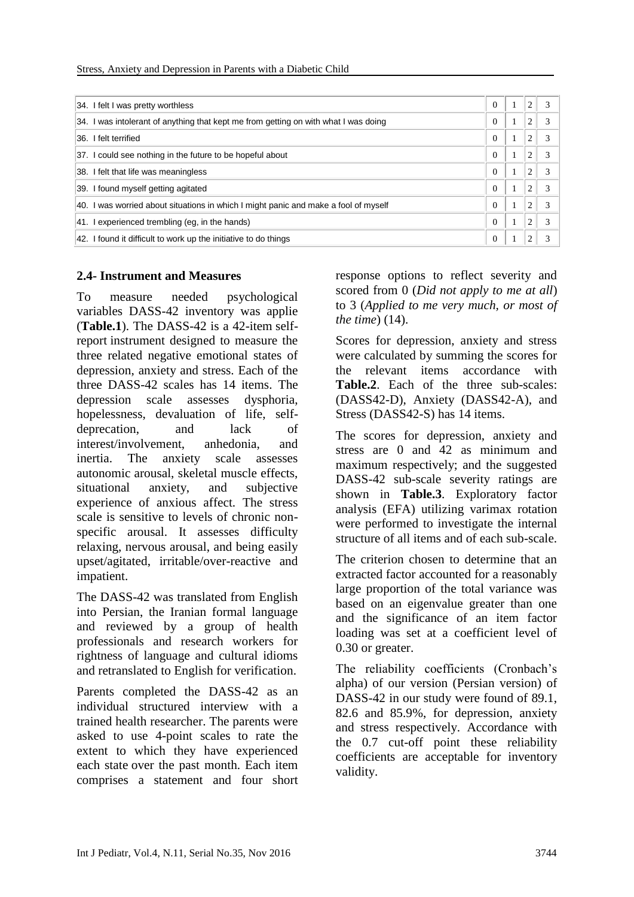| 34. I felt I was pretty worthless                                                   | $\Omega$ | 2 | 3 |
|-------------------------------------------------------------------------------------|----------|---|---|
| 34. I was intolerant of anything that kept me from getting on with what I was doing | 0        | 2 | 3 |
| I felt terrified<br>36.                                                             | $\Omega$ | 2 | 3 |
| 37. I could see nothing in the future to be hopeful about                           | $\Omega$ | 2 | 3 |
| 38. I felt that life was meaningless                                                | $\Omega$ | 2 | 3 |
| 39. I found myself getting agitated                                                 | $\Omega$ | 2 | 3 |
| 40. I was worried about situations in which I might panic and make a fool of myself | $\Omega$ | 2 | 3 |
| experienced trembling (eq. in the hands)<br>141. I                                  | $\Omega$ | 2 | 3 |
| 42. I found it difficult to work up the initiative to do things                     | $\Omega$ |   |   |

## **2.4- Instrument and Measures**

To measure needed psychological variables DASS-42 inventory was applie (**Table.1**). The DASS-42 is a 42-item selfreport instrument designed to measure the three related negative emotional states of depression, anxiety and stress. Each of the three DASS-42 scales has 14 items. The depression scale assesses dysphoria, hopelessness, devaluation of life, selfdeprecation, and lack of interest/involvement, anhedonia, and inertia. The anxiety scale assesses autonomic arousal, skeletal muscle effects, situational anxiety, and subjective experience of anxious affect. The stress scale is sensitive to levels of chronic nonspecific arousal. It assesses difficulty relaxing, nervous arousal, and being easily upset/agitated, irritable/over-reactive and impatient.

The DASS-42 was translated from English into Persian, the Iranian formal language and reviewed by a group of health professionals and research workers for rightness of language and cultural idioms and retranslated to English for verification.

Parents completed the DASS-42 as an individual structured interview with a trained health researcher. The parents were asked to use 4-point scales to rate the extent to which they have experienced each state over the past month. Each item comprises a statement and four short

response options to reflect severity and scored from 0 (*Did not apply to me at all*) to 3 (*Applied to me very much, or most of the time*) (14).

Scores for depression, anxiety and stress were calculated by summing the scores for the relevant items accordance with **Table.2**. Each of the three sub-scales: (DASS42-D), Anxiety (DASS42-A), and Stress (DASS42-S) has 14 items.

The scores for depression, anxiety and stress are 0 and 42 as minimum and maximum respectively; and the suggested DASS-42 sub-scale severity ratings are shown in **Table[.3](https://bmcpsychiatry.biomedcentral.com/articles/10.1186/1471-244X-13-24#Tab1)**. Exploratory factor analysis (EFA) utilizing varimax rotation were performed to investigate the internal structure of all items and of each sub-scale.

The criterion chosen to determine that an extracted factor accounted for a reasonably large proportion of the total variance was based on an eigenvalue greater than one and the significance of an item factor loading was set at a coefficient level of 0.30 or greater.

The reliability coefficients (Cronbach's alpha) of our version (Persian version) of DASS-42 in our study were found of 89.1, 82.6 and 85.9%, for depression, anxiety and stress respectively. Accordance with the 0.7 cut-off point these reliability coefficients are acceptable for inventory validity.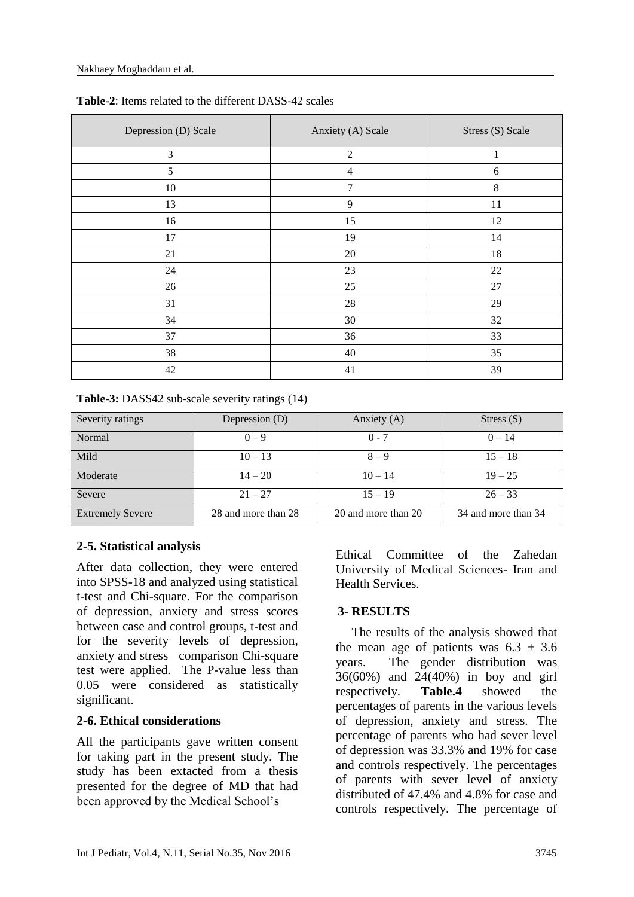| Depression (D) Scale | Anxiety (A) Scale | Stress (S) Scale |
|----------------------|-------------------|------------------|
| 3                    | $\overline{2}$    | 1                |
| 5                    | $\overline{4}$    | 6                |
| 10                   | $\overline{7}$    | $\,8\,$          |
| 13                   | 9                 | 11               |
| 16                   | 15                | 12               |
| 17                   | 19                | 14               |
| 21                   | 20                | 18               |
| 24                   | 23                | 22               |
| 26                   | 25                | $27\,$           |
| 31                   | $28\,$            | 29               |
| 34                   | $30\,$            | 32               |
| 37                   | 36                | 33               |
| 38                   | 40                | 35               |
| 42                   | 41                | 39               |

**Table-2**: Items related to the different DASS-42 scales

**Table-3:** DASS42 sub-scale severity ratings (14)

| Severity ratings        | Depression (D)      | Anxiety (A)         | Stress $(S)$        |
|-------------------------|---------------------|---------------------|---------------------|
| Normal                  | $0 - 9$             | $0 - 7$             | $0 - 14$            |
| Mild                    | $10 - 13$           | $8 - 9$             | $15 - 18$           |
| Moderate                | $14 - 20$           | $10 - 14$           | $19 - 25$           |
| Severe                  | $21 - 27$           | $15 - 19$           | $26 - 33$           |
| <b>Extremely Severe</b> | 28 and more than 28 | 20 and more than 20 | 34 and more than 34 |

# **2-5. Statistical analysis**

After data collection, they were entered into SPSS-18 and analyzed using statistical t-test and Chi-square. For the comparison of depression, anxiety and stress scores between case and control groups, t-test and for the severity levels of depression, anxiety and stress comparison Chi-square test were applied. The P-value less than 0.05 were considered as statistically significant.

# **2-6. Ethical considerations**

All the participants gave written consent for taking part in the present study. The study has been extacted from a thesis presented for the degree of MD that had been approved by the Medical School's

Ethical Committee of the Zahedan University of Medical Sciences- Iran and Health Services.

# **3- RESULTS**

 The results of the analysis showed that the mean age of patients was  $6.3 \pm 3.6$ years. The gender distribution was 36(60%) and 24(40%) in boy and girl respectively. **Table.4** showed the percentages of parents in the various levels of depression, anxiety and stress. The percentage of parents who had sever level of depression was 33.3% and 19% for case and controls respectively. The percentages of parents with sever level of anxiety distributed of 47.4% and 4.8% for case and controls respectively. The percentage of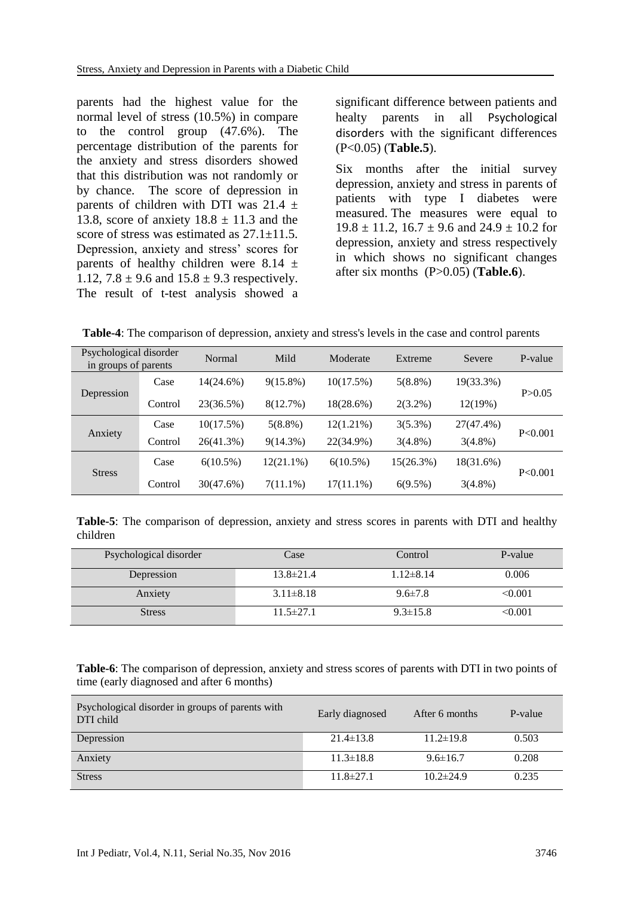parents had the highest value for the normal level of stress (10.5%) in compare to the control group (47.6%). The percentage distribution of the parents for the anxiety and stress disorders showed that this distribution was not randomly or by chance. The score of depression in parents of children with DTI was  $21.4 \pm$ 13.8, score of anxiety  $18.8 \pm 11.3$  and the score of stress was estimated as  $27.1 \pm 11.5$ . Depression, anxiety and stress' scores for parents of healthy children were 8.14  $\pm$ 1.12,  $7.8 \pm 9.6$  and  $15.8 \pm 9.3$  respectively. The result of t-test analysis showed a

significant difference between patients and healty parents in all Psychological disorders with the significant differences (P<0.05) (**Table.5**).

Six months after the initial survey depression, anxiety and stress in parents of patients with type I diabetes were measured. The measures were equal to  $19.8 \pm 11.2$ ,  $16.7 \pm 9.6$  and  $24.9 \pm 10.2$  for depression, anxiety and stress respectively in which shows no significant changes after six months (P>0.05) (**Table.6**).

 **Table-4**: The comparison of depression, anxiety and stress's levels in the case and control parents

| Psychological disorder<br>in groups of parents |         | Normal      | Mild         | Moderate     | Extreme      | Severe     | P-value  |  |
|------------------------------------------------|---------|-------------|--------------|--------------|--------------|------------|----------|--|
|                                                | Case    | 14(24.6%)   | $9(15.8\%)$  | 10(17.5%)    | $5(8.8\%)$   | 19(33.3%)  |          |  |
| Depression                                     | Control | 23(36.5%)   | 8(12.7%)     | $18(28.6\%)$ | $2(3.2\%)$   | 12(19%)    | P > 0.05 |  |
|                                                | Case    | 10(17.5%)   | $5(8.8\%)$   | $12(1.21\%)$ | $3(5.3\%)$   | 27(47.4%)  | P<0.001  |  |
| Anxiety                                        | Control | 26(41.3%)   | $9(14.3\%)$  | 22(34.9%)    | $3(4.8\%)$   | $3(4.8\%)$ |          |  |
| <b>Stress</b>                                  | Case    | $6(10.5\%)$ | $12(21.1\%)$ | $6(10.5\%)$  | $15(26.3\%)$ | 18(31.6%)  | P<0.001  |  |
|                                                | Control | 30(47.6%)   | $7(11.1\%)$  | $17(11.1\%)$ | $6(9.5\%)$   | $3(4.8\%)$ |          |  |

**Table-5**: The comparison of depression, anxiety and stress scores in parents with DTI and healthy children

| Psychological disorder | Case            | Control         | P-value |
|------------------------|-----------------|-----------------|---------|
| Depression             | $13.8 \pm 21.4$ | $1.12 \pm 8.14$ | 0.006   |
| Anxiety                | $3.11 \pm 8.18$ | $9.6 \pm 7.8$   | < 0.001 |
| Stress                 | $11.5 \pm 27.1$ | $9.3 \pm 15.8$  | < 0.001 |

**Table-6**: The comparison of depression, anxiety and stress scores of parents with DTI in two points of time (early diagnosed and after 6 months)

| Psychological disorder in groups of parents with<br>DTI child | Early diagnosed | After 6 months  | P-value |
|---------------------------------------------------------------|-----------------|-----------------|---------|
| Depression                                                    | $21.4 \pm 13.8$ | $11.2 \pm 19.8$ | 0.503   |
| Anxiety                                                       | $11.3 \pm 18.8$ | $9.6 \pm 16.7$  | 0.208   |
| <b>Stress</b>                                                 | $11.8 \pm 27.1$ | $10.2 \pm 24.9$ | 0.235   |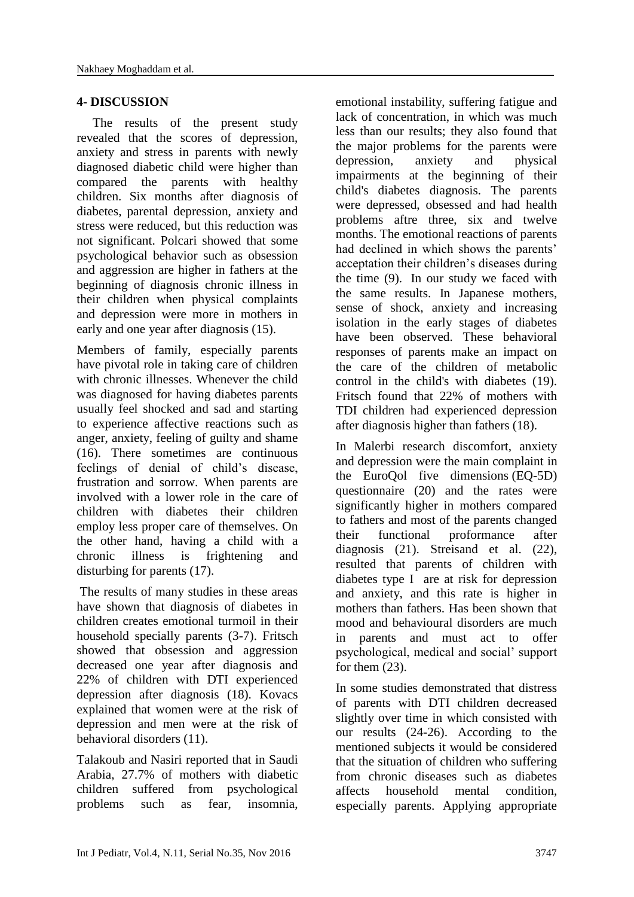## **4- DISCUSSION**

 The results of the present study revealed that the scores of depression, anxiety and stress in parents with newly diagnosed diabetic child were higher than compared the parents with healthy children. Six months after diagnosis of diabetes, parental depression, anxiety and stress were reduced, but this reduction was not significant. Polcari showed that some psychological behavior such as obsession and aggression are higher in fathers at the beginning of diagnosis chronic illness in their children when physical complaints and depression were more in mothers in early and one year after diagnosis (15).

Members of family, especially parents have pivotal role in taking care of children with chronic illnesses. Whenever the child was diagnosed for having diabetes parents usually feel shocked and sad and starting to experience affective reactions such as anger, anxiety, feeling of guilty and shame (16). There sometimes are continuous feelings of denial of child's disease, frustration and sorrow. When parents are involved with a lower role in the care of children with diabetes their children employ less proper care of themselves. On the other hand, having a child with a chronic illness is frightening and disturbing for parents (17).

The results of many studies in these areas have shown that diagnosis of diabetes in children creates emotional turmoil in their household specially parents (3-7). Fritsch showed that obsession and aggression decreased one year after diagnosis and 22% of children with DTI experienced depression after diagnosis (18). Kovacs explained that women were at the risk of depression and men were at the risk of behavioral disorders (11).

Talakoub and Nasiri reported that in Saudi Arabia, 27.7% of mothers with diabetic children suffered from psychological problems such as fear, insomnia,

emotional instability, suffering fatigue and lack of concentration, in which was much less than our results; they also found that the major problems for the parents were depression, anxiety and physical impairments at the beginning of their child's diabetes diagnosis. The parents were depressed, obsessed and had health problems aftre three, six and twelve months. The emotional reactions of parents had declined in which shows the parents' acceptation their children's diseases during the time (9). In our study we faced with the same results. In Japanese mothers, sense of shock, anxiety and increasing isolation in the early stages of diabetes have been observed. These behavioral responses of parents make an impact on the care of the children of metabolic control in the child's with diabetes (19). Fritsch found that 22% of mothers with TDI children had experienced depression after diagnosis higher than fathers (18).

In Malerbi research discomfort, anxiety and depression were the main complaint in the EuroQol five dimensions (EQ-5D) questionnaire (20) and the rates were significantly higher in mothers compared to fathers and most of the parents changed their functional proformance after diagnosis (21). Streisand et al. (22), resulted that parents of children with diabetes type I are at risk for depression and anxiety, and this rate is higher in mothers than fathers. Has been shown that mood and behavioural disorders are much in parents and must act to offer psychological, medical and social' support for them  $(23)$ .

In some studies demonstrated that distress of parents with DTI children decreased slightly over time in which consisted with our results (24-26). According to the mentioned subjects it would be considered that the situation of children who suffering from chronic diseases such as diabetes affects household mental condition, especially parents. Applying appropriate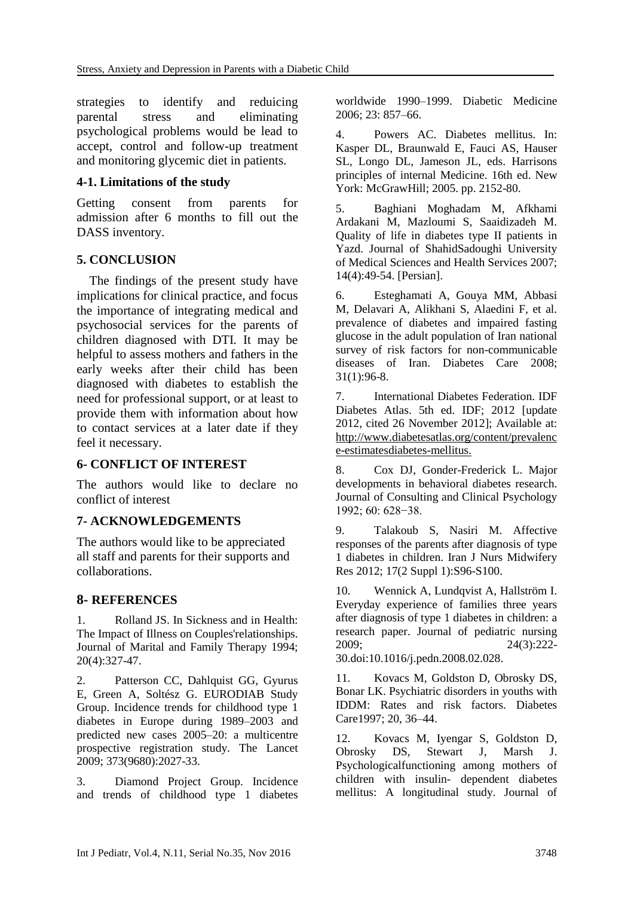strategies to identify and reduicing parental stress and eliminating psychological problems would be lead to accept, control and follow-up treatment and monitoring glycemic diet in patients.

## **4-1. Limitations of the study**

Getting consent from parents for admission after 6 months to fill out the DASS inventory.

## **5. CONCLUSION**

 The findings of the present study have implications for clinical practice, and focus the importance of integrating medical and psychosocial services for the parents of children diagnosed with DTI. It may be helpful to assess mothers and fathers in the early weeks after their child has been diagnosed with diabetes to establish the need for professional support, or at least to provide them with information about how to contact services at a later date if they feel it necessary.

# **6- CONFLICT OF INTEREST**

The authors would like to declare no conflict of interest

#### **7- ACKNOWLEDGEMENTS**

The authors would like to be appreciated all staff and parents for their supports and collaborations.

# **8- REFERENCES**

1. Rolland JS. In Sickness and in Health: The Impact of Illness on Couples'relationships. Journal of Marital and Family Therapy 1994; 20(4):327-47.

2. Patterson CC, Dahlquist GG, Gyurus E, Green A, Soltész G. EURODIAB Study Group. Incidence trends for childhood type 1 diabetes in Europe during 1989–2003 and predicted new cases 2005–20: a multicentre prospective registration study. The Lancet 2009; 373(9680):2027-33.

3. Diamond Project Group. Incidence and trends of childhood type 1 diabetes worldwide 1990–1999. Diabetic Medicine 2006; 23: 857–66.

4. Powers AC. Diabetes mellitus. In: Kasper DL, Braunwald E, Fauci AS, Hauser SL, Longo DL, Jameson JL, eds. Harrisons principles of internal Medicine. 16th ed. New York: McGrawHill; 2005. pp. 2152-80.

5. Baghiani Moghadam M, Afkhami Ardakani M, Mazloumi S, Saaidizadeh M. Quality of life in diabetes type II patients in Yazd. Journal of ShahidSadoughi University of Medical Sciences and Health Services 2007; 14(4):49-54. [Persian].

6. Esteghamati A, Gouya MM, Abbasi M, Delavari A, Alikhani S, Alaedini F, et al. prevalence of diabetes and impaired fasting glucose in the adult population of Iran national survey of risk factors for non-communicable diseases of Iran. Diabetes Care 2008; 31(1):96-8.

7. International Diabetes Federation. IDF Diabetes Atlas. 5th ed. IDF; 2012 [update 2012, cited 26 November 2012]; Available at: http://www.diabetesatlas.org/content/prevalenc e-estimatesdiabetes-mellitus.

8. Cox DJ, Gonder-Frederick L. Major developments in behavioral diabetes research. Journal of Consulting and Clinical Psychology 1992; 60: 628−38.

9. Talakoub S, Nasiri M. Affective responses of the parents after diagnosis of type 1 diabetes in children. Iran J Nurs Midwifery Res 2012; 17(2 Suppl 1):S96-S100.

10. Wennick A, Lundqvist A, Hallström I. Everyday experience of families three years after diagnosis of type 1 diabetes in children: a research paper. Journal of pediatric nursing 2009; 24(3):222- 30.doi:10.1016/j.pedn.2008.02.028.

11. Kovacs M, Goldston D, Obrosky DS, Bonar LK. Psychiatric disorders in youths with IDDM: Rates and risk factors. Diabetes Care1997; 20, 36–44.

12. Kovacs M, Iyengar S, Goldston D, Obrosky DS, Stewart J, Marsh J. Psychologicalfunctioning among mothers of children with insulin- dependent diabetes mellitus: A longitudinal study. Journal of